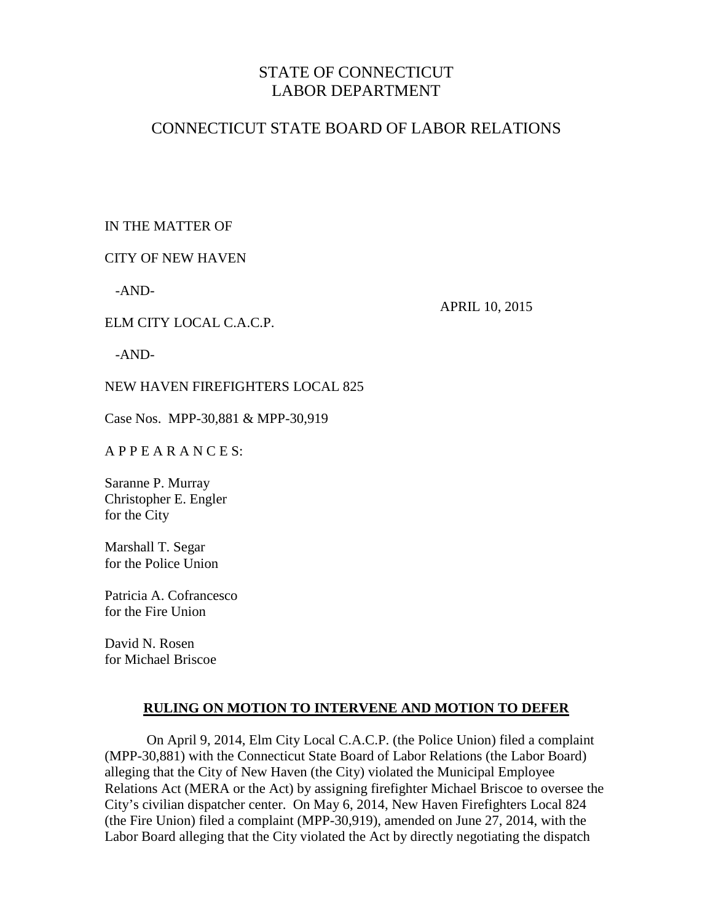# STATE OF CONNECTICUT LABOR DEPARTMENT

# CONNECTICUT STATE BOARD OF LABOR RELATIONS

# IN THE MATTER OF

## CITY OF NEW HAVEN

ELM CITY LOCAL C.A.C.P.

-AND-

APRIL 10, 2015

-AND-

## NEW HAVEN FIREFIGHTERS LOCAL 825

Case Nos. MPP-30,881 & MPP-30,919

### A P P E A R A N C E S:

Saranne P. Murray Christopher E. Engler for the City

Marshall T. Segar for the Police Union

Patricia A. Cofrancesco for the Fire Union

David N. Rosen for Michael Briscoe

## **RULING ON MOTION TO INTERVENE AND MOTION TO DEFER**

On April 9, 2014, Elm City Local C.A.C.P. (the Police Union) filed a complaint (MPP-30,881) with the Connecticut State Board of Labor Relations (the Labor Board) alleging that the City of New Haven (the City) violated the Municipal Employee Relations Act (MERA or the Act) by assigning firefighter Michael Briscoe to oversee the City's civilian dispatcher center. On May 6, 2014, New Haven Firefighters Local 824 (the Fire Union) filed a complaint (MPP-30,919), amended on June 27, 2014, with the Labor Board alleging that the City violated the Act by directly negotiating the dispatch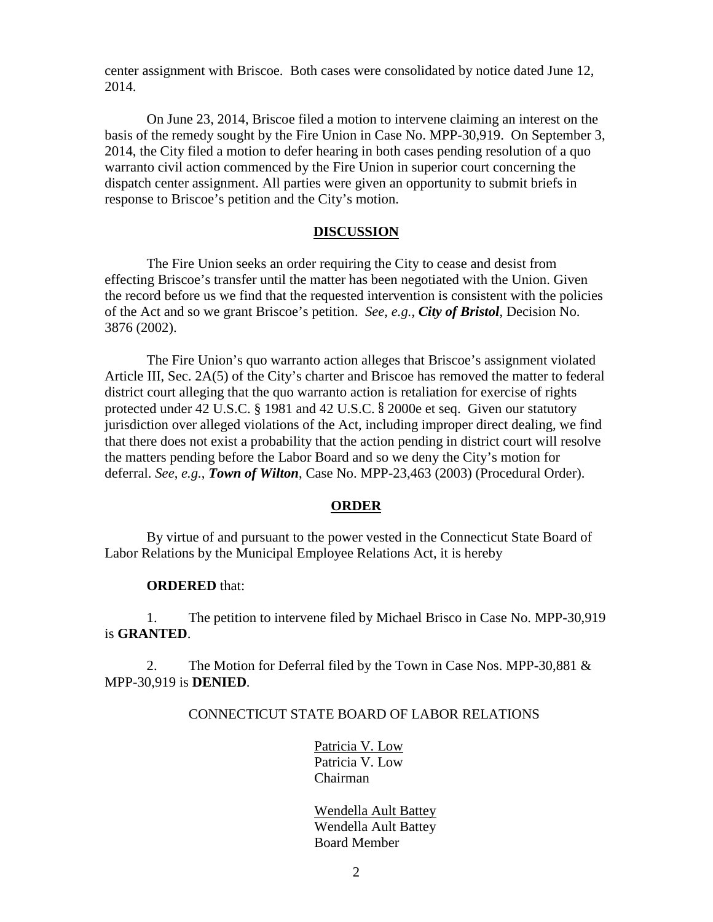center assignment with Briscoe. Both cases were consolidated by notice dated June 12, 2014.

On June 23, 2014, Briscoe filed a motion to intervene claiming an interest on the basis of the remedy sought by the Fire Union in Case No. MPP-30,919. On September 3, 2014, the City filed a motion to defer hearing in both cases pending resolution of a quo warranto civil action commenced by the Fire Union in superior court concerning the dispatch center assignment. All parties were given an opportunity to submit briefs in response to Briscoe's petition and the City's motion.

#### **DISCUSSION**

The Fire Union seeks an order requiring the City to cease and desist from effecting Briscoe's transfer until the matter has been negotiated with the Union. Given the record before us we find that the requested intervention is consistent with the policies of the Act and so we grant Briscoe's petition. *See*, *e.g.*, *City of Bristol*, Decision No. 3876 (2002).

The Fire Union's quo warranto action alleges that Briscoe's assignment violated Article III, Sec. 2A(5) of the City's charter and Briscoe has removed the matter to federal district court alleging that the quo warranto action is retaliation for exercise of rights protected under 42 U.S.C. § 1981 and 42 U.S.C. § 2000e et seq. Given our statutory jurisdiction over alleged violations of the Act, including improper direct dealing, we find that there does not exist a probability that the action pending in district court will resolve the matters pending before the Labor Board and so we deny the City's motion for deferral. *See*, *e.g.*, *Town of Wilton*, Case No. MPP-23,463 (2003) (Procedural Order).

#### **ORDER**

By virtue of and pursuant to the power vested in the Connecticut State Board of Labor Relations by the Municipal Employee Relations Act, it is hereby

#### **ORDERED** that:

1. The petition to intervene filed by Michael Brisco in Case No. MPP-30,919 is **GRANTED**.

2. The Motion for Deferral filed by the Town in Case Nos. MPP-30,881 & MPP-30,919 is **DENIED**.

#### CONNECTICUT STATE BOARD OF LABOR RELATIONS

Patricia V. Low Patricia V. Low Chairman

Wendella Ault Battey Wendella Ault Battey Board Member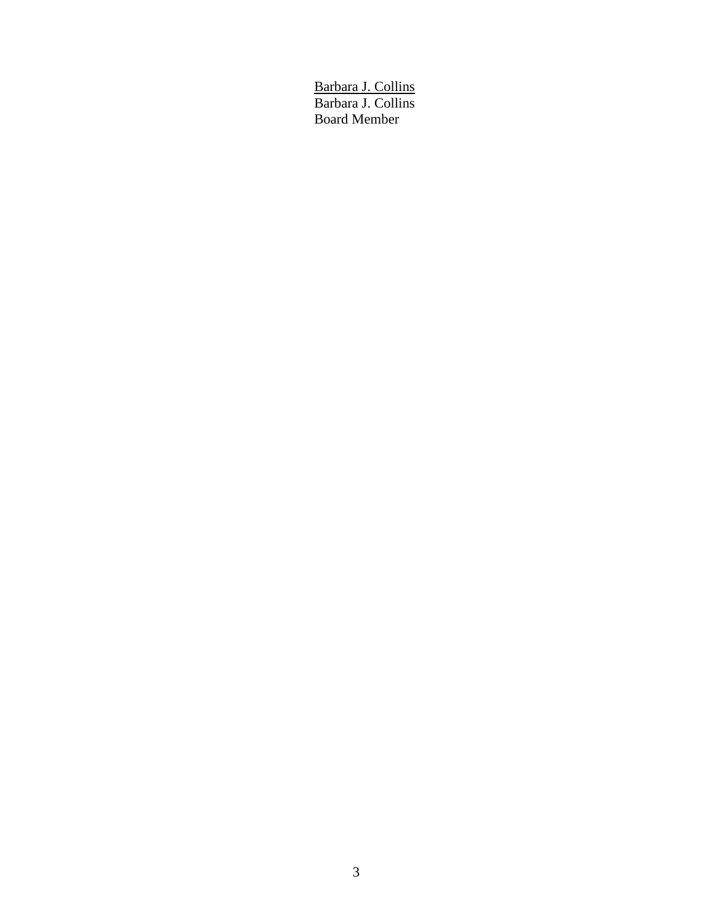Barbara J. Collins Barbara J. Collins Board Member